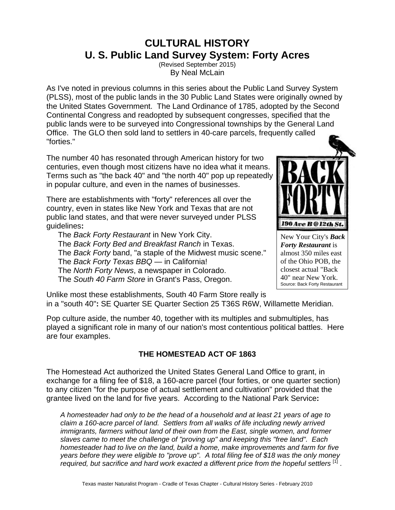# **CULTURAL HISTORY U. S. Public Land Survey System: Forty Acres**

(Revised September 2015) By Neal McLain

As I've noted in previous columns in this series about the Public Land Survey System (PLSS), most of the public lands in the 30 Public Land States were originally owned by the United States Government. The Land Ordinance of 1785, adopted by the Second Continental Congress and readopted by subsequent congresses, specified that the public lands were to be surveyed into Congressional townships by the General Land Office. The GLO then sold land to settlers in 40-care parcels, frequently called "forties."

The number 40 has resonated through American history for two centuries, even though most citizens have no idea what it means. Terms such as "the back 40" and "the north 40" pop up repeatedly in popular culture, and even in the names of businesses.

There are establishments with "forty" references all over the country, even in states like New York and Texas that are not public land states, and that were never surveyed under PLSS guidelines**:**

The *Back Forty Restaurant* in New York City. The *Back Forty Bed and Breakfast Ranch* in Texas. The *Back Forty* band, "a staple of the Midwest music scene." The *Back Forty Texas BBQ* — in California! The *North Forty News*, a newspaper in Colorado. The *South 40 Farm Store* in Grant's Pass, Oregon.

Unlike most these establishments, South 40 Farm Store really is in a "south 40"**:** SE Quarter SE Quarter Section 25 T36S R6W, Willamette Meridian.

Pop culture aside, the number 40, together with its multiples and submultiples, has played a significant role in many of our nation's most contentious political battles. Here are four examples.

# **THE HOMESTEAD ACT OF 1863**

The Homestead Act authorized the United States General Land Office to grant, in exchange for a filing fee of \$18, a 160-acre parcel (four forties, or one quarter section) to any citizen "for the purpose of actual settlement and cultivation" provided that the grantee lived on the land for five years. According to the National Park Service**:**

*A homesteader had only to be the head of a household and at least 21 years of age to claim a 160-acre parcel of land. Settlers from all walks of life including newly arrived immigrants, farmers without land of their own from the East, single women, and former slaves came to meet the challenge of "proving up" and keeping this "free land". Each homesteader had to live on the land, build a home, make improvements and farm for five years before they were eligible to "prove up". A total filing fee of \$18 was the only money required, but sacrifice and hard work exacted a different price from the hopeful settlers* [1] .



New Your City's *Back Forty Restaurant* is almost 350 miles east of the Ohio POB, the closest actual "Back 40" near New York. Source: Back Forty Restaurant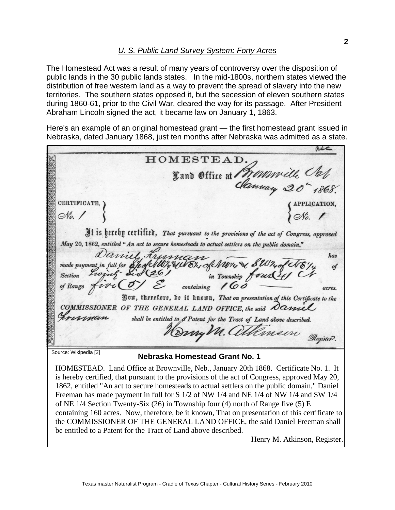The Homestead Act was a result of many years of controversy over the disposition of public lands in the 30 public lands states. In the mid-1800s, northern states viewed the distribution of free western land as a way to prevent the spread of slavery into the new territories. The southern states opposed it, but the secession of eleven southern states during 1860-61, prior to the Civil War, cleared the way for its passage. After President Abraham Lincoln signed the act, it became law on January 1, 1863.

Here's an example of an original homestead grant — the first homestead grant issued in Nebraska, dated January 1868, just ten months after Nebraska was admitted as a state.

**B** HOMESTEAD. Fand Office at Monsville Clef ľ **CERTIFICATE** No. 1 It is hereby certified, That pursuant to the provisions of the act of Congress, approved May 20, 1862, entitled "An act to secure homesteads to actual settlers on the public domain," Daniel Kruman has EUVER of NWW a SW4 of NE made payment in full for **Sholl** of mg Six (26) **Section** containing 160 of Range wil acres. Jow, therefore, be it known, That on presentation of this Certificate to the COMMISSIONER OF THE GENERAL LAND OFFICE, the said Daniel shall be entitled to & Patent for the Tract of Land above described. Herry M. atkinson Register. Source: Wikipedia [2] **Nebraska Homestead Grant No. 1**  HOMESTEAD. Land Office at Brownville, Neb., January 20th 1868. Certificate No. 1. It

is hereby certified, that pursuant to the provisions of the act of Congress, approved May 20, 1862, entitled "An act to secure homesteads to actual settlers on the public domain," Daniel Freeman has made payment in full for S 1/2 of NW 1/4 and NE 1/4 of NW 1/4 and SW 1/4 of NE 1/4 Section Twenty-Six (26) in Township four (4) north of Range five (5) E containing 160 acres. Now, therefore, be it known, That on presentation of this certificate to the COMMISSIONER OF THE GENERAL LAND OFFICE, the said Daniel Freeman shall be entitled to a Patent for the Tract of Land above described.

Henry M. Atkinson, Register.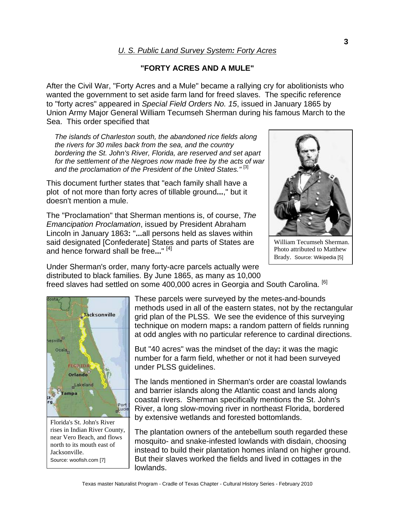## *U. S. Public Land Survey System: Forty Acres*

### **"FORTY ACRES AND A MULE"**

After the Civil War, "Forty Acres and a Mule" became a rallying cry for abolitionists who wanted the government to set aside farm land for freed slaves. The specific reference to "forty acres" appeared in *Special Field Orders No. 15*, issued in January 1865 by Union Army Major General William Tecumseh Sherman during his famous March to the Sea. This order specified that

*The islands of Charleston south, the abandoned rice fields along the rivers for 30 miles back from the sea, and the country bordering the St. John's River, Florida, are reserved and set apart for the settlement of the Negroes now made free by the acts of war and the proclamation of the President of the United States."* [3]

This document further states that "each family shall have a plot of not more than forty acres of tillable ground**...**," but it doesn't mention a mule.

The "Proclamation" that Sherman mentions is, of course, *The Emancipation Proclamation*, issued by President Abraham Lincoln in January 1863**:** "**...**all persons held as slaves within said designated [Confederate] States and parts of States are and hence forward shall be free**...**" [4]



William Tecumseh Sherman. Photo attributed to Matthew Brady. Source: Wikipedia [5]

Under Sherman's order, many forty-acre parcels actually were distributed to black families. By June 1865, as many as 10,000

freed slaves had settled on some 400,000 acres in Georgia and South Carolina. [6]



Florida's St. John's River rises in Indian River County, near Vero Beach, and flows north to its mouth east of Jacksonville. Source: woofish.com [7]

These parcels were surveyed by the metes-and-bounds methods used in all of the eastern states, not by the rectangular grid plan of the PLSS. We see the evidence of this surveying technique on modern maps**:** a random pattern of fields running at odd angles with no particular reference to cardinal directions.

But "40 acres" was the mindset of the day**:** it was the magic number for a farm field, whether or not it had been surveyed under PLSS guidelines.

The lands mentioned in Sherman's order are coastal lowlands and barrier islands along the Atlantic coast and lands along coastal rivers. Sherman specifically mentions the St. John's River, a long slow-moving river in northeast Florida, bordered by extensive wetlands and forested bottomlands.

The plantation owners of the antebellum south regarded these mosquito- and snake-infested lowlands with disdain, choosing instead to build their plantation homes inland on higher ground. But their slaves worked the fields and lived in cottages in the lowlands.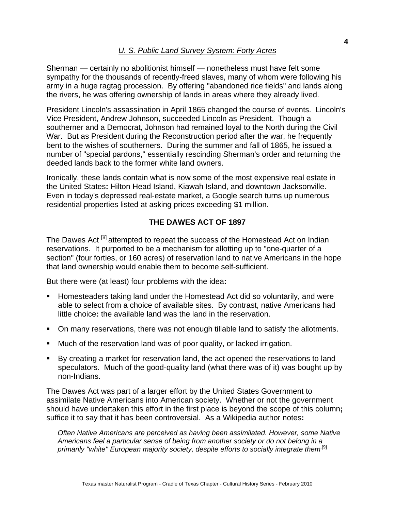Sherman — certainly no abolitionist himself — nonetheless must have felt some sympathy for the thousands of recently-freed slaves, many of whom were following his army in a huge ragtag procession. By offering "abandoned rice fields" and lands along the rivers, he was offering ownership of lands in areas where they already lived.

President Lincoln's assassination in April 1865 changed the course of events. Lincoln's Vice President, Andrew Johnson, succeeded Lincoln as President. Though a southerner and a Democrat, Johnson had remained loyal to the North during the Civil War. But as President during the Reconstruction period after the war, he frequently bent to the wishes of southerners. During the summer and fall of 1865, he issued a number of "special pardons," essentially rescinding Sherman's order and returning the deeded lands back to the former white land owners.

Ironically, these lands contain what is now some of the most expensive real estate in the United States**:** Hilton Head Island, Kiawah Island, and downtown Jacksonville. Even in today's depressed real-estate market, a Google search turns up numerous residential properties listed at asking prices exceeding \$1 million.

## **THE DAWES ACT OF 1897**

The Dawes Act<sup>[8]</sup> attempted to repeat the success of the Homestead Act on Indian reservations. It purported to be a mechanism for allotting up to "one-quarter of a section" (four forties, or 160 acres) of reservation land to native Americans in the hope that land ownership would enable them to become self-sufficient.

But there were (at least) four problems with the idea**:**

- Homesteaders taking land under the Homestead Act did so voluntarily, and were able to select from a choice of available sites. By contrast, native Americans had little choice**:** the available land was the land in the reservation.
- On many reservations, there was not enough tillable land to satisfy the allotments.
- Much of the reservation land was of poor quality, or lacked irrigation.
- By creating a market for reservation land, the act opened the reservations to land speculators. Much of the good-quality land (what there was of it) was bought up by non-Indians.

The Dawes Act was part of a larger effort by the United States Government to assimilate Native Americans into American society. Whether or not the government should have undertaken this effort in the first place is beyond the scope of this column**;** suffice it to say that it has been controversial. As a Wikipedia author notes**:**

*Often Native Americans are perceived as having been assimilated. However, some Native Americans feel a particular sense of being from another society or do not belong in a*  primarily "white" European majority society, despite efforts to socially integrate them<sup>[9]</sup>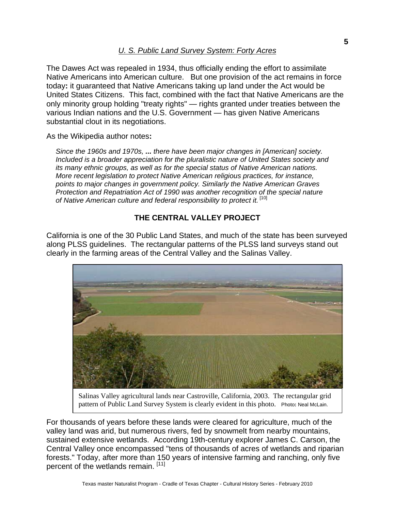The Dawes Act was repealed in 1934, thus officially ending the effort to assimilate Native Americans into American culture. But one provision of the act remains in force today**:** it guaranteed that Native Americans taking up land under the Act would be United States Citizens. This fact, combined with the fact that Native Americans are the only minority group holding "treaty rights" — rights granted under treaties between the various Indian nations and the U.S. Government — has given Native Americans substantial clout in its negotiations.

As the Wikipedia author notes**:** 

*Since the 1960s and 1970s, ... there have been major changes in [American] society. Included is a broader appreciation for the pluralistic nature of United States society and its many ethnic groups, as well as for the special status of Native American nations. More recent legislation to protect Native American religious practices, for instance, points to major changes in government policy. Similarly the Native American Graves Protection and Repatriation Act of 1990 was another recognition of the special nature of Native American culture and federal responsibility to protect it.* [10]

## **THE CENTRAL VALLEY PROJECT**

California is one of the 30 Public Land States, and much of the state has been surveyed along PLSS guidelines. The rectangular patterns of the PLSS land surveys stand out clearly in the farming areas of the Central Valley and the Salinas Valley.



Salinas Valley agricultural lands near Castroville, California, 2003. The rectangular grid pattern of Public Land Survey System is clearly evident in this photo. Photo**:** Neal McLain.

For thousands of years before these lands were cleared for agriculture, much of the valley land was arid, but numerous rivers, fed by snowmelt from nearby mountains, sustained extensive wetlands. According 19th-century explorer James C. Carson, the Central Valley once encompassed "tens of thousands of acres of wetlands and riparian forests." Today, after more than 150 years of intensive farming and ranching, only five percent of the wetlands remain. [11]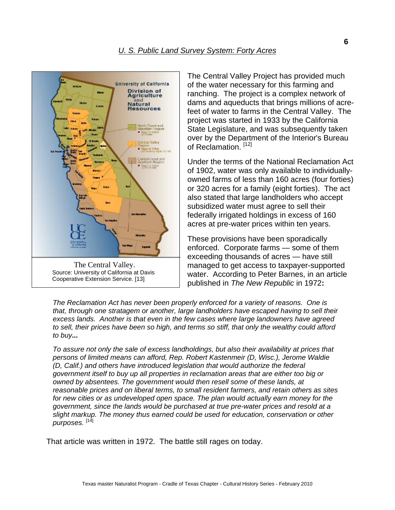

The Central Valley Project has provided much of the water necessary for this farming and ranching. The project is a complex network of dams and aqueducts that brings millions of acrefeet of water to farms in the Central Valley. The project was started in 1933 by the California State Legislature, and was subsequently taken over by the Department of the Interior's Bureau of Reclamation.<sup>[12]</sup>

Under the terms of the National Reclamation Act of 1902, water was only available to individuallyowned farms of less than 160 acres (four forties) or 320 acres for a family (eight forties). The act also stated that large landholders who accept subsidized water must agree to sell their federally irrigated holdings in excess of 160 acres at pre-water prices within ten years.

These provisions have been sporadically enforced. Corporate farms — some of them exceeding thousands of acres — have still managed to get access to taxpayer-supported water. According to Peter Barnes, in an article published in *The New Republic* in 1972**:**

*The Reclamation Act has never been properly enforced for a variety of reasons. One is that, through one stratagem or another, large landholders have escaped having to sell their excess lands. Another is that even in the few cases where large landowners have agreed to sell, their prices have been so high, and terms so stiff, that only the wealthy could afford to buy...*

*To assure not only the sale of excess landholdings, but also their availability at prices that persons of limited means can afford, Rep. Robert Kastenmeir (D, Wisc.), Jerome Waldie (D, Calif.) and others have introduced legislation that would authorize the federal government itself to buy up all properties in reclamation areas that are either too big or owned by absentees. The government would then resell some of these lands, at reasonable prices and on liberal terms, to small resident farmers, and retain others as sites for new cities or as undeveloped open space. The plan would actually earn money for the government, since the lands would be purchased at true pre-water prices and resold at a slight markup. The money thus earned could be used for education, conservation or other purposes.* [14]

That article was written in 1972. The battle still rages on today.